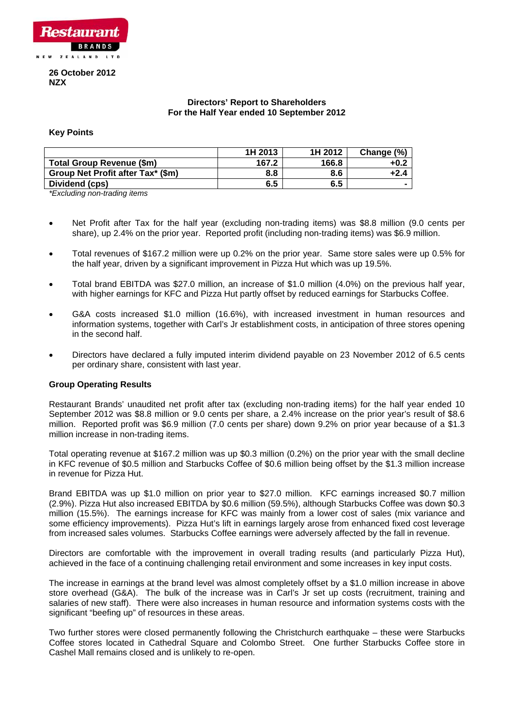

# **26 October 2012 NZX**

# **Directors' Report to Shareholders For the Half Year ended 10 September 2012**

# **Key Points**

|                                           | 1H 2013 | 1H 2012 | Change (%) |
|-------------------------------------------|---------|---------|------------|
| Total Group Revenue (\$m)                 | 167.2   | 166.8   | +0.2       |
| Group Net Profit after Tax* (\$m)         | 8.8     | 8.6     | +2.4       |
| Dividend (cps)                            | 6.5     | 6.5     |            |
| $\sim$ $\sim$ $\sim$ $\sim$ $\sim$ $\sim$ |         |         |            |

*\*Excluding non-trading items* 

- Net Profit after Tax for the half year (excluding non-trading items) was \$8.8 million (9.0 cents per share), up 2.4% on the prior year. Reported profit (including non-trading items) was \$6.9 million.
- Total revenues of \$167.2 million were up 0.2% on the prior year. Same store sales were up 0.5% for the half year, driven by a significant improvement in Pizza Hut which was up 19.5%.
- Total brand EBITDA was \$27.0 million, an increase of \$1.0 million (4.0%) on the previous half year, with higher earnings for KFC and Pizza Hut partly offset by reduced earnings for Starbucks Coffee.
- G&A costs increased \$1.0 million (16.6%), with increased investment in human resources and information systems, together with Carl's Jr establishment costs, in anticipation of three stores opening in the second half.
- Directors have declared a fully imputed interim dividend payable on 23 November 2012 of 6.5 cents per ordinary share, consistent with last year.

# **Group Operating Results**

Restaurant Brands' unaudited net profit after tax (excluding non-trading items) for the half year ended 10 September 2012 was \$8.8 million or 9.0 cents per share, a 2.4% increase on the prior year's result of \$8.6 million. Reported profit was \$6.9 million (7.0 cents per share) down 9.2% on prior year because of a \$1.3 million increase in non-trading items.

Total operating revenue at \$167.2 million was up \$0.3 million (0.2%) on the prior year with the small decline in KFC revenue of \$0.5 million and Starbucks Coffee of \$0.6 million being offset by the \$1.3 million increase in revenue for Pizza Hut.

Brand EBITDA was up \$1.0 million on prior year to \$27.0 million. KFC earnings increased \$0.7 million (2.9%). Pizza Hut also increased EBITDA by \$0.6 million (59.5%), although Starbucks Coffee was down \$0.3 million (15.5%). The earnings increase for KFC was mainly from a lower cost of sales (mix variance and some efficiency improvements). Pizza Hut's lift in earnings largely arose from enhanced fixed cost leverage from increased sales volumes. Starbucks Coffee earnings were adversely affected by the fall in revenue.

Directors are comfortable with the improvement in overall trading results (and particularly Pizza Hut), achieved in the face of a continuing challenging retail environment and some increases in key input costs.

The increase in earnings at the brand level was almost completely offset by a \$1.0 million increase in above store overhead (G&A). The bulk of the increase was in Carl's Jr set up costs (recruitment, training and salaries of new staff). There were also increases in human resource and information systems costs with the significant "beefing up" of resources in these areas.

Two further stores were closed permanently following the Christchurch earthquake – these were Starbucks Coffee stores located in Cathedral Square and Colombo Street. One further Starbucks Coffee store in Cashel Mall remains closed and is unlikely to re-open.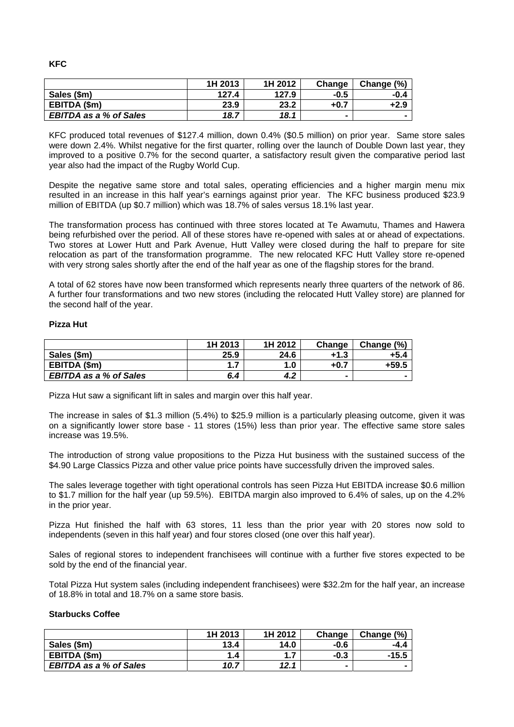|                               | 1H 2013 | 1H 2012 | Change         | Change (%)     |
|-------------------------------|---------|---------|----------------|----------------|
| Sales (\$m)                   | 127.4   | 127.9   | $-0.5$         | -0.4           |
| EBITDA (\$m)                  | 23.9    | 23.2    | $+0.7$         | $+2.9$         |
| <b>EBITDA as a % of Sales</b> | 18.7    | 18.1    | $\blacksquare$ | $\blacksquare$ |

KFC produced total revenues of \$127.4 million, down 0.4% (\$0.5 million) on prior year. Same store sales were down 2.4%. Whilst negative for the first quarter, rolling over the launch of Double Down last year, they improved to a positive 0.7% for the second quarter, a satisfactory result given the comparative period last year also had the impact of the Rugby World Cup.

Despite the negative same store and total sales, operating efficiencies and a higher margin menu mix resulted in an increase in this half year's earnings against prior year. The KFC business produced \$23.9 million of EBITDA (up \$0.7 million) which was 18.7% of sales versus 18.1% last year.

The transformation process has continued with three stores located at Te Awamutu, Thames and Hawera being refurbished over the period. All of these stores have re-opened with sales at or ahead of expectations. Two stores at Lower Hutt and Park Avenue, Hutt Valley were closed during the half to prepare for site relocation as part of the transformation programme. The new relocated KFC Hutt Valley store re-opened with very strong sales shortly after the end of the half year as one of the flagship stores for the brand.

A total of 62 stores have now been transformed which represents nearly three quarters of the network of 86. A further four transformations and two new stores (including the relocated Hutt Valley store) are planned for the second half of the year.

# **izza Hut P**

|                               | 1H 2013 | 1H 2012 | Change         | Change (%) |
|-------------------------------|---------|---------|----------------|------------|
| Sales (\$m)                   | 25.9    | 24.6    | +1.3           | +5.4       |
| EBITDA (\$m)                  | 1.7     | 1.0     | $+0.7$         | +59.5      |
| <b>EBITDA as a % of Sales</b> | 6.4     | 4.2     | $\blacksquare$ |            |

Pizza Hut saw a significant lift in sales and margin over this half year.

The increase in sales of \$1.3 million (5.4%) to \$25.9 million is a particularly pleasing outcome, given it was on a significantly lower store base - 11 stores (15%) less than prior year. The effective same store sales increase was 19.5%.

The introduction of strong value propositions to the Pizza Hut business with the sustained success of the \$4.90 Large Classics Pizza and other value price points have successfully driven the improved sales.

The sales leverage together with tight operational controls has seen Pizza Hut EBITDA increase \$0.6 million to \$1.7 million for the half year (up 59.5%). EBITDA margin also improved to 6.4% of sales, up on the 4.2% in the prior year.

Pizza Hut finished the half with 63 stores, 11 less than the prior year with 20 stores now sold to independents (seven in this half year) and four stores closed (one over this half year).

Sales of regional stores to independent franchisees will continue with a further five stores expected to be sold by the end of the financial year.

Total Pizza Hut system sales (including independent franchisees) were \$32.2m for the half year, an increase of 18.8% in total and 18.7% on a same store basis.

# **Starbucks Coffee**

|                               | 1H 2013 | 1H 2012 | Change | Change (%) |
|-------------------------------|---------|---------|--------|------------|
| Sales (\$m)                   | 13.4    | 14.0    | -0.6   | -4.4       |
| EBITDA (\$m)                  | 1.4     | 1.7     | $-0.3$ | -15.5      |
| <b>EBITDA as a % of Sales</b> | 10.7    | 12.1    |        |            |

**KFC**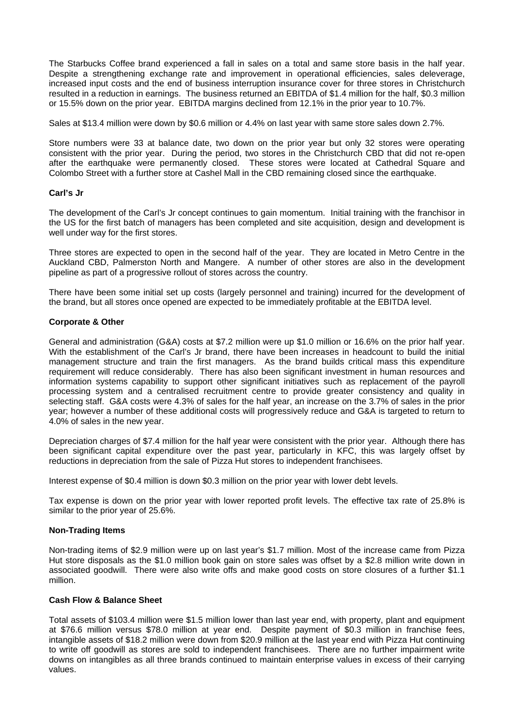The Starbucks Coffee brand experienced a fall in sales on a total and same store basis in the half year. Despite a strengthening exchange rate and improvement in operational efficiencies, sales deleverage, increased input costs and the end of business interruption insurance cover for three stores in Christchurch resulted in a reduction in earnings. The business returned an EBITDA of \$1.4 million for the half, \$0.3 million or 15.5% down on the prior year. EBITDA margins declined from 12.1% in the prior year to 10.7%.

Sales at \$13.4 million were down by \$0.6 million or 4.4% on last year with same store sales down 2.7%.

Store numbers were 33 at balance date, two down on the prior year but only 32 stores were operating consistent with the prior year. During the period, two stores in the Christchurch CBD that did not re-open after the earthquake were permanently closed. These stores were located at Cathedral Square and Colombo Street with a further store at Cashel Mall in the CBD remaining closed since the earthquake.

# **arl's Jr C**

The development of the Carl's Jr concept continues to gain momentum. Initial training with the franchisor in the US for the first batch of managers has been completed and site acquisition, design and development is well under way for the first stores.

Three stores are expected to open in the second half of the year. They are located in Metro Centre in the Auckland CBD, Palmerston North and Mangere. A number of other stores are also in the development pipeline as part of a progressive rollout of stores across the country.

There have been some initial set up costs (largely personnel and training) incurred for the development of the brand, but all stores once opened are expected to be immediately profitable at the EBITDA level.

#### **Corporate & Other**

General and administration (G&A) costs at \$7.2 million were up \$1.0 million or 16.6% on the prior half year. With the establishment of the Carl's Jr brand, there have been increases in headcount to build the initial management structure and train the first managers. As the brand builds critical mass this expenditure requirement will reduce considerably. There has also been significant investment in human resources and information systems capability to support other significant initiatives such as replacement of the payroll processing system and a centralised recruitment centre to provide greater consistency and quality in selecting staff. G&A costs were 4.3% of sales for the half year, an increase on the 3.7% of sales in the prior year; however a number of these additional costs will progressively reduce and G&A is targeted to return to 4.0% of sales in the new year.

Depreciation charges of \$7.4 million for the half year were consistent with the prior year. Although there has been significant capital expenditure over the past year, particularly in KFC, this was largely offset by reductions in depreciation from the sale of Pizza Hut stores to independent franchisees.

Interest expense of \$0.4 million is down \$0.3 million on the prior year with lower debt levels.

Tax expense is down on the prior year with lower reported profit levels. The effective tax rate of 25.8% is similar to the prior year of 25.6%.

# **on-Trading Items N**

Non-trading items of \$2.9 million were up on last year's \$1.7 million. Most of the increase came from Pizza Hut store disposals as the \$1.0 million book gain on store sales was offset by a \$2.8 million write down in associated goodwill. There were also write offs and make good costs on store closures of a further \$1.1 million.

# **Cash Flow & Balance Sheet**

Total assets of \$103.4 million were \$1.5 million lower than last year end, with property, plant and equipment values. at \$76.6 million versus \$78.0 million at year end. Despite payment of \$0.3 million in franchise fees, intangible assets of \$18.2 million were down from \$20.9 million at the last year end with Pizza Hut continuing to write off goodwill as stores are sold to independent franchisees. There are no further impairment write downs on intangibles as all three brands continued to maintain enterprise values in excess of their carrying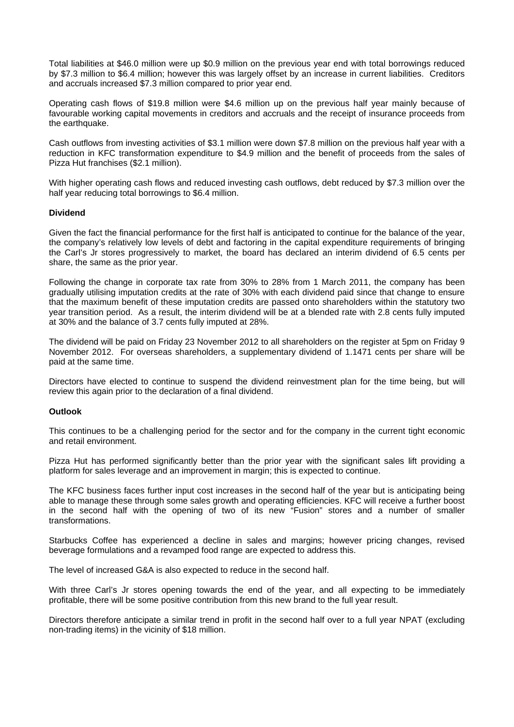Total liabilities at \$46.0 million were up \$0.9 million on the previous year end with total borrowings reduced by \$7.3 million to \$6.4 million; however this was largely offset by an increase in current liabilities. Creditors and accruals increased \$7.3 million compared to prior year end.

Operating cash flows of \$19.8 million were \$4.6 million up on the previous half year mainly because of favourable working capital movements in creditors and accruals and the receipt of insurance proceeds from the earthquake.

Cash outflows from investing activities of \$3.1 million were down \$7.8 million on the previous half year with a reduction in KFC transformation expenditure to \$4.9 million and the benefit of proceeds from the sales of Pizza Hut franchises (\$2.1 million).

With higher operating cash flows and reduced investing cash outflows, debt reduced by \$7.3 million over the half year reducing total borrowings to \$6.4 million.

# **Dividend**

Given the fact the financial performance for the first half is anticipated to continue for the balance of the year, the company's relatively low levels of debt and factoring in the capital expenditure requirements of bringing the Carl's Jr stores progressively to market, the board has declared an interim dividend of 6.5 cents per share, the same as the prior year.

Following the change in corporate tax rate from 30% to 28% from 1 March 2011, the company has been gradually utilising imputation credits at the rate of 30% with each dividend paid since that change to ensure that the maximum benefit of these imputation credits are passed onto shareholders within the statutory two year transition period. As a result, the interim dividend will be at a blended rate with 2.8 cents fully imputed at 30% and the balance of 3.7 cents fully imputed at 28%.

The dividend will be paid on Friday 23 November 2012 to all shareholders on the register at 5pm on Friday 9 November 2012. For overseas shareholders, a supplementary dividend of 1.1471 cents per share will be paid at the same time.

Directors have elected to continue to suspend the dividend reinvestment plan for the time being, but will review this again prior to the declaration of a final dividend.

# **Outlook**

This continues to be a challenging period for the sector and for the company in the current tight economic and retail environment.

Pizza Hut has performed significantly better than the prior year with the significant sales lift providing a platform for sales leverage and an improvement in margin; this is expected to continue.

The KFC business faces further input cost increases in the second half of the year but is anticipating being able to manage these through some sales growth and operating efficiencies. KFC will receive a further boost in the second half with the opening of two of its new "Fusion" stores and a number of smaller transformations.

Starbucks Coffee has experienced a decline in sales and margins; however pricing changes, revised beverage formulations and a revamped food range are expected to address this.

The level of increased G&A is also expected to reduce in the second half.

With three Carl's Jr stores opening towards the end of the year, and all expecting to be immediately profitable, there will be some positive contribution from this new brand to the full year result.

Directors therefore anticipate a similar trend in profit in the second half over to a full year NPAT (excluding non-trading items) in the vicinity of \$18 million.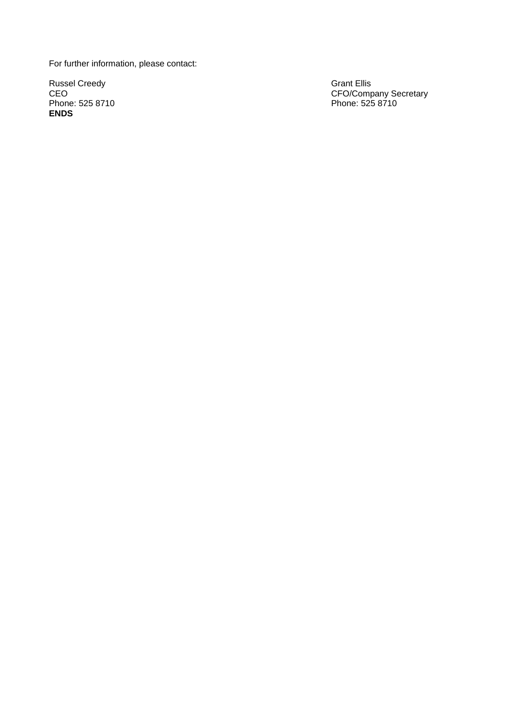For further information, please contact:

Russel Creedy C Phone: 525 8710 **ENDS**

Grant Ellis EO CFO/Company Secretary 0 8710